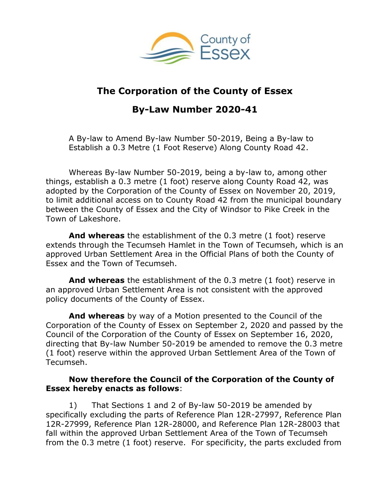

## **The Corporation of the County of Essex**

# **By-Law Number 2020-41**

A By-law to Amend By-law Number 50-2019, Being a By-law to Establish a 0.3 Metre (1 Foot Reserve) Along County Road 42.

Whereas By-law Number 50-2019, being a by-law to, among other things, establish a 0.3 metre (1 foot) reserve along County Road 42, was adopted by the Corporation of the County of Essex on November 20, 2019, to limit additional access on to County Road 42 from the municipal boundary between the County of Essex and the City of Windsor to Pike Creek in the Town of Lakeshore.

**And whereas** the establishment of the 0.3 metre (1 foot) reserve extends through the Tecumseh Hamlet in the Town of Tecumseh, which is an approved Urban Settlement Area in the Official Plans of both the County of Essex and the Town of Tecumseh.

**And whereas** the establishment of the 0.3 metre (1 foot) reserve in an approved Urban Settlement Area is not consistent with the approved policy documents of the County of Essex.

**And whereas** by way of a Motion presented to the Council of the Corporation of the County of Essex on September 2, 2020 and passed by the Council of the Corporation of the County of Essex on September 16, 2020, directing that By-law Number 50-2019 be amended to remove the 0.3 metre (1 foot) reserve within the approved Urban Settlement Area of the Town of Tecumseh.

### **Now therefore the Council of the Corporation of the County of Essex hereby enacts as follows**:

1) That Sections 1 and 2 of By-law 50-2019 be amended by specifically excluding the parts of Reference Plan 12R-27997, Reference Plan 12R-27999, Reference Plan 12R-28000, and Reference Plan 12R-28003 that fall within the approved Urban Settlement Area of the Town of Tecumseh from the 0.3 metre (1 foot) reserve. For specificity, the parts excluded from